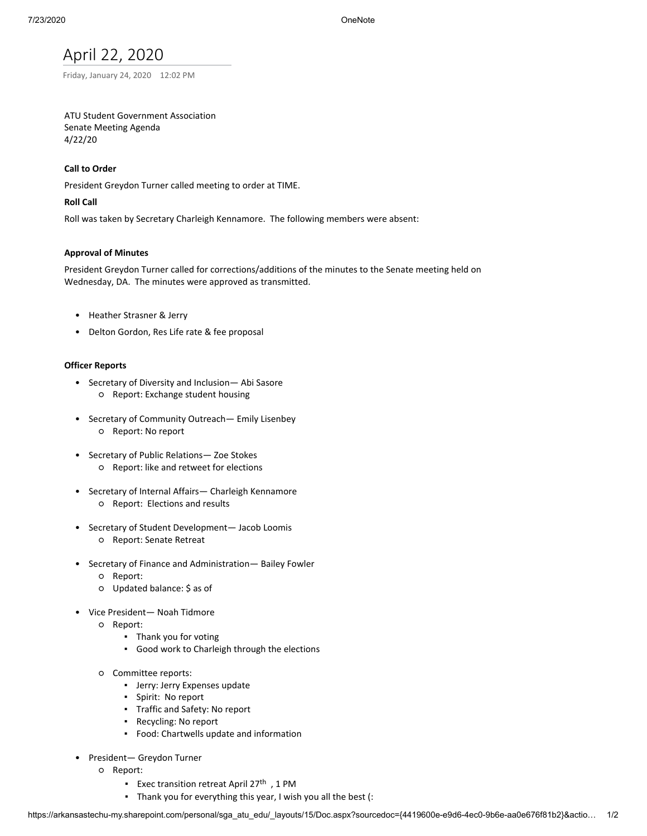# April 22, 2020

Friday, January 24, 2020 12:02 PM

# ATU Student Government Association Senate Meeting Agenda 4/22/20

# **Call to Order**

President Greydon Turner called meeting to order at TIME.

# **Roll Call**

Roll was taken by Secretary Charleigh Kennamore. The following members were absent:

# **Approval of Minutes**

President Greydon Turner called for corrections/additions of the minutes to the Senate meeting held on Wednesday, DA. The minutes were approved as transmitted.

- Heather Strasner & Jerry
- Delton Gordon, Res Life rate & fee proposal

# **Officer Reports**

- Secretary of Diversity and Inclusion— Abi Sasore ○ Report: Exchange student housing
- Secretary of Community Outreach— Emily Lisenbey ○ Report: No report
- Secretary of Public Relations— Zoe Stokes ○ Report: like and retweet for elections
- Secretary of Internal Affairs— Charleigh Kennamore ○ Report: Elections and results
- Secretary of Student Development— Jacob Loomis ○ Report: Senate Retreat
- Secretary of Finance and Administration— Bailey Fowler
	- Report:
	- Updated balance: \$ as of
- Vice President— Noah Tidmore
	- Report:
		- Thank you for voting
		- Good work to Charleigh through the elections
	- Committee reports:
		- Jerry: Jerry Expenses update
		- Spirit: No report
		- Traffic and Safety: No report
		- Recycling: No report
		- Food: Chartwells update and information
- President— Greydon Turner
	- Report:
		- Exec transition retreat April 27<sup>th</sup> , 1 PM
		- Thank you for everything this year, I wish you all the best (: